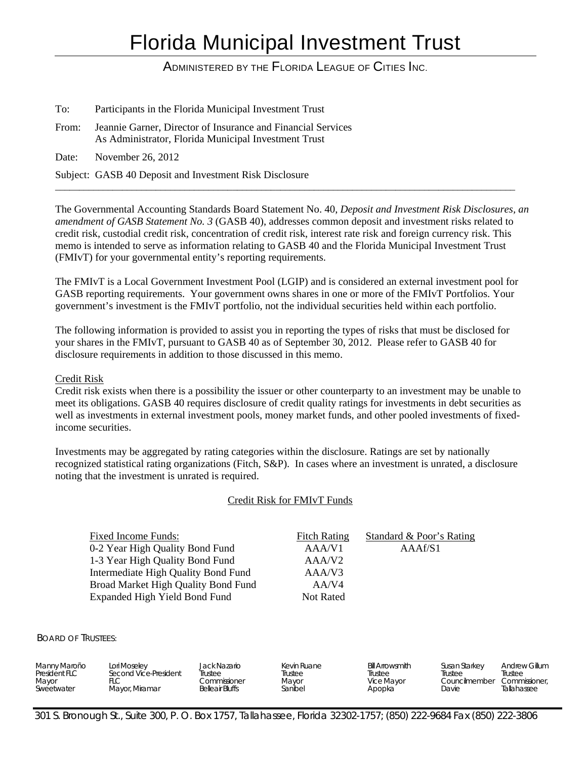# Florida Municipal Investment Trust

ADMINISTERED BY THE FLORIDA LEAGUE OF CITIES INC.

To: Participants in the Florida Municipal Investment Trust

- From: Jeannie Garner, Director of Insurance and Financial Services As Administrator, Florida Municipal Investment Trust
- Date: November 26, 2012

Subject: GASB 40 Deposit and Investment Risk Disclosure

The Governmental Accounting Standards Board Statement No. 40, *Deposit and Investment Risk Disclosures, an amendment of GASB Statement No. 3* (GASB 40), addresses common deposit and investment risks related to credit risk, custodial credit risk, concentration of credit risk, interest rate risk and foreign currency risk. This memo is intended to serve as information relating to GASB 40 and the Florida Municipal Investment Trust (FMIvT) for your governmental entity's reporting requirements.

\_\_\_\_\_\_\_\_\_\_\_\_\_\_\_\_\_\_\_\_\_\_\_\_\_\_\_\_\_\_\_\_\_\_\_\_\_\_\_\_\_\_\_\_\_\_\_\_\_\_\_\_\_\_\_\_\_\_\_\_\_\_\_\_\_\_\_\_\_\_\_\_\_\_\_\_\_\_\_\_\_\_\_\_\_\_\_\_\_\_\_\_\_\_\_\_

The FMIvT is a Local Government Investment Pool (LGIP) and is considered an external investment pool for GASB reporting requirements. Your government owns shares in one or more of the FMIvT Portfolios. Your government's investment is the FMIvT portfolio, not the individual securities held within each portfolio.

The following information is provided to assist you in reporting the types of risks that must be disclosed for your shares in the FMIvT, pursuant to GASB 40 as of September 30, 2012. Please refer to GASB 40 for disclosure requirements in addition to those discussed in this memo.

# Credit Risk

Credit risk exists when there is a possibility the issuer or other counterparty to an investment may be unable to meet its obligations. GASB 40 requires disclosure of credit quality ratings for investments in debt securities as well as investments in external investment pools, money market funds, and other pooled investments of fixedincome securities.

Investments may be aggregated by rating categories within the disclosure. Ratings are set by nationally recognized statistical rating organizations (Fitch, S&P). In cases where an investment is unrated, a disclosure noting that the investment is unrated is required.

# Credit Risk for FMIvT Funds

| Fixed Income Funds:                 | <b>Fitch Rating</b> | Standard & Poor's Rating |
|-------------------------------------|---------------------|--------------------------|
| 0-2 Year High Quality Bond Fund     | AAA/V1              | AAAf/S1                  |
| 1-3 Year High Quality Bond Fund     | AAA/V2              |                          |
| Intermediate High Quality Bond Fund | AAA/V3              |                          |
| Broad Market High Quality Bond Fund | AA/V4               |                          |
| Expanded High Yield Bond Fund       | <b>Not Rated</b>    |                          |

BOARD OF TRUSTEES:

| Manny Maroño<br>President FLC<br>Mayor<br>Sweetwater | Lori Moseley<br>Second Vice-President<br>Mayor, Miramar | Jack Nazario<br>Trustee<br>Commissioner<br>Belleair Bluffs | Kevin Ruane<br>Trustee<br>Mavor<br>Sanibel | Bill Arrowsmith<br>Trustee<br>Vice Mayor<br>Apopka | Susan Starkey<br>Trustee<br>Councilmember<br>Davie | Andrew Gillum<br>Trustee<br>Commissioner.<br><b>Tallahassee</b> |
|------------------------------------------------------|---------------------------------------------------------|------------------------------------------------------------|--------------------------------------------|----------------------------------------------------|----------------------------------------------------|-----------------------------------------------------------------|
|------------------------------------------------------|---------------------------------------------------------|------------------------------------------------------------|--------------------------------------------|----------------------------------------------------|----------------------------------------------------|-----------------------------------------------------------------|

301 S. Bronough St., Suite 300, P. O. Box 1757, Tallahassee, Florida 32302-1757; (850) 222-9684 Fax (850) 222-3806